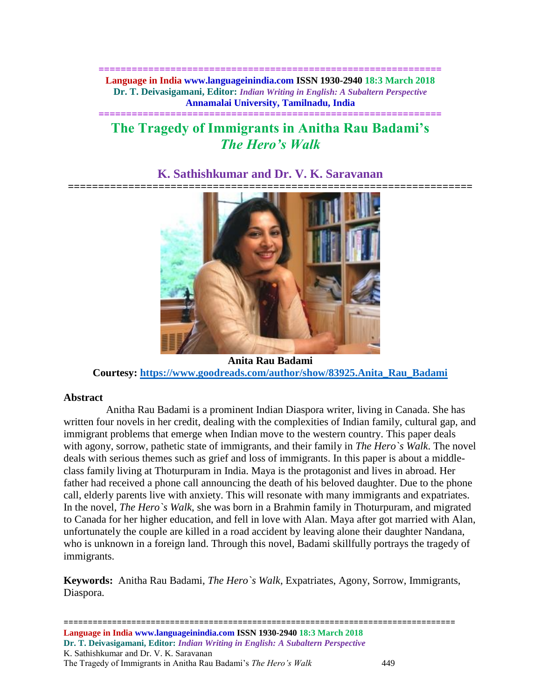**============================================================== Language in India www.languageinindia.com ISSN 1930-2940 18:3 March 2018 Dr. T. Deivasigamani, Editor:** *Indian Writing in English: A Subaltern Perspective* **Annamalai University, Tamilnadu, India**

# **============================================================== The Tragedy of Immigrants in Anitha Rau Badami's** *The Hero's Walk*

## **K. Sathishkumar and Dr. V. K. Saravanan**



**Anita Rau Badami Courtesy: [https://www.goodreads.com/author/show/83925.Anita\\_Rau\\_Badami](https://www.goodreads.com/author/show/83925.Anita_Rau_Badami)**

## **Abstract**

 Anitha Rau Badami is a prominent Indian Diaspora writer, living in Canada. She has written four novels in her credit, dealing with the complexities of Indian family, cultural gap, and immigrant problems that emerge when Indian move to the western country. This paper deals with agony, sorrow, pathetic state of immigrants, and their family in *The Hero`s Walk*. The novel deals with serious themes such as grief and loss of immigrants. In this paper is about a middleclass family living at Thoturpuram in India. Maya is the protagonist and lives in abroad. Her father had received a phone call announcing the death of his beloved daughter. Due to the phone call, elderly parents live with anxiety. This will resonate with many immigrants and expatriates. In the novel, *The Hero`s Walk*, she was born in a Brahmin family in Thoturpuram, and migrated to Canada for her higher education, and fell in love with Alan. Maya after got married with Alan, unfortunately the couple are killed in a road accident by leaving alone their daughter Nandana, who is unknown in a foreign land. Through this novel, Badami skillfully portrays the tragedy of immigrants.

**Keywords:** Anitha Rau Badami, *The Hero`s Walk,* Expatriates, Agony, Sorrow, Immigrants, Diaspora.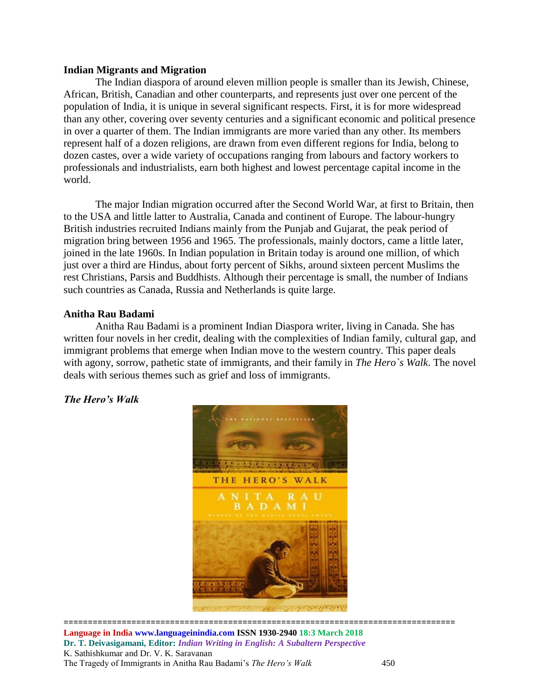#### **Indian Migrants and Migration**

The Indian diaspora of around eleven million people is smaller than its Jewish, Chinese, African, British, Canadian and other counterparts, and represents just over one percent of the population of India, it is unique in several significant respects. First, it is for more widespread than any other, covering over seventy centuries and a significant economic and political presence in over a quarter of them. The Indian immigrants are more varied than any other. Its members represent half of a dozen religions, are drawn from even different regions for India, belong to dozen castes, over a wide variety of occupations ranging from labours and factory workers to professionals and industrialists, earn both highest and lowest percentage capital income in the world.

The major Indian migration occurred after the Second World War, at first to Britain, then to the USA and little latter to Australia, Canada and continent of Europe. The labour-hungry British industries recruited Indians mainly from the Punjab and Gujarat, the peak period of migration bring between 1956 and 1965. The professionals, mainly doctors, came a little later, joined in the late 1960s. In Indian population in Britain today is around one million, of which just over a third are Hindus, about forty percent of Sikhs, around sixteen percent Muslims the rest Christians, Parsis and Buddhists. Although their percentage is small, the number of Indians such countries as Canada, Russia and Netherlands is quite large.

#### **Anitha Rau Badami**

Anitha Rau Badami is a prominent Indian Diaspora writer, living in Canada. She has written four novels in her credit, dealing with the complexities of Indian family, cultural gap, and immigrant problems that emerge when Indian move to the western country. This paper deals with agony, sorrow, pathetic state of immigrants, and their family in *The Hero`s Walk*. The novel deals with serious themes such as grief and loss of immigrants.

### *The Hero's Walk*



================================================================================= **Language in India www.languageinindia.com ISSN 1930-2940 18:3 March 2018 Dr. T. Deivasigamani, Editor:** *Indian Writing in English: A Subaltern Perspective* K. Sathishkumar and Dr. V. K. Saravanan The Tragedy of Immigrants in Anitha Rau Badami's *The Hero's Walk* 450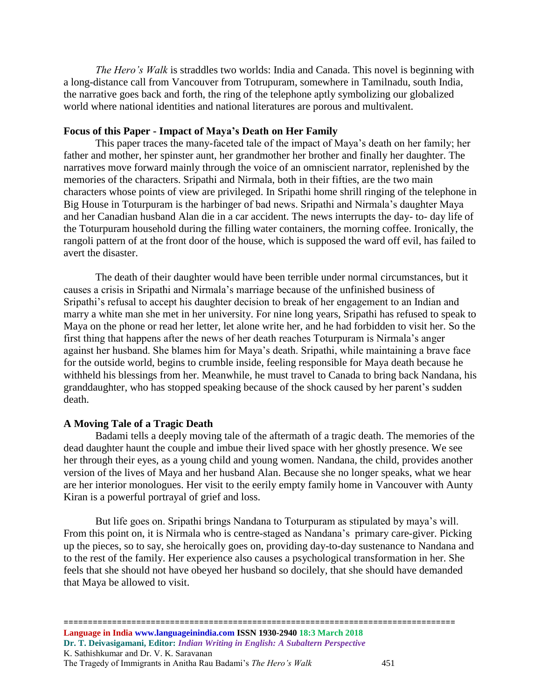*The Hero's Walk* is straddles two worlds: India and Canada. This novel is beginning with a long-distance call from Vancouver from Totrupuram, somewhere in Tamilnadu, south India, the narrative goes back and forth, the ring of the telephone aptly symbolizing our globalized world where national identities and national literatures are porous and multivalent.

#### **Focus of this Paper - Impact of Maya's Death on Her Family**

This paper traces the many-faceted tale of the impact of Maya's death on her family; her father and mother, her spinster aunt, her grandmother her brother and finally her daughter. The narratives move forward mainly through the voice of an omniscient narrator, replenished by the memories of the characters. Sripathi and Nirmala, both in their fifties, are the two main characters whose points of view are privileged. In Sripathi home shrill ringing of the telephone in Big House in Toturpuram is the harbinger of bad news. Sripathi and Nirmala's daughter Maya and her Canadian husband Alan die in a car accident. The news interrupts the day- to- day life of the Toturpuram household during the filling water containers, the morning coffee. Ironically, the rangoli pattern of at the front door of the house, which is supposed the ward off evil, has failed to avert the disaster.

The death of their daughter would have been terrible under normal circumstances, but it causes a crisis in Sripathi and Nirmala's marriage because of the unfinished business of Sripathi's refusal to accept his daughter decision to break of her engagement to an Indian and marry a white man she met in her university. For nine long years, Sripathi has refused to speak to Maya on the phone or read her letter, let alone write her, and he had forbidden to visit her. So the first thing that happens after the news of her death reaches Toturpuram is Nirmala's anger against her husband. She blames him for Maya's death. Sripathi, while maintaining a brave face for the outside world, begins to crumble inside, feeling responsible for Maya death because he withheld his blessings from her. Meanwhile, he must travel to Canada to bring back Nandana, his granddaughter, who has stopped speaking because of the shock caused by her parent's sudden death.

#### **A Moving Tale of a Tragic Death**

Badami tells a deeply moving tale of the aftermath of a tragic death. The memories of the dead daughter haunt the couple and imbue their lived space with her ghostly presence. We see her through their eyes, as a young child and young women. Nandana, the child, provides another version of the lives of Maya and her husband Alan. Because she no longer speaks, what we hear are her interior monologues. Her visit to the eerily empty family home in Vancouver with Aunty Kiran is a powerful portrayal of grief and loss.

But life goes on. Sripathi brings Nandana to Toturpuram as stipulated by maya's will. From this point on, it is Nirmala who is centre-staged as Nandana's primary care-giver. Picking up the pieces, so to say, she heroically goes on, providing day-to-day sustenance to Nandana and to the rest of the family. Her experience also causes a psychological transformation in her. She feels that she should not have obeyed her husband so docilely, that she should have demanded that Maya be allowed to visit.